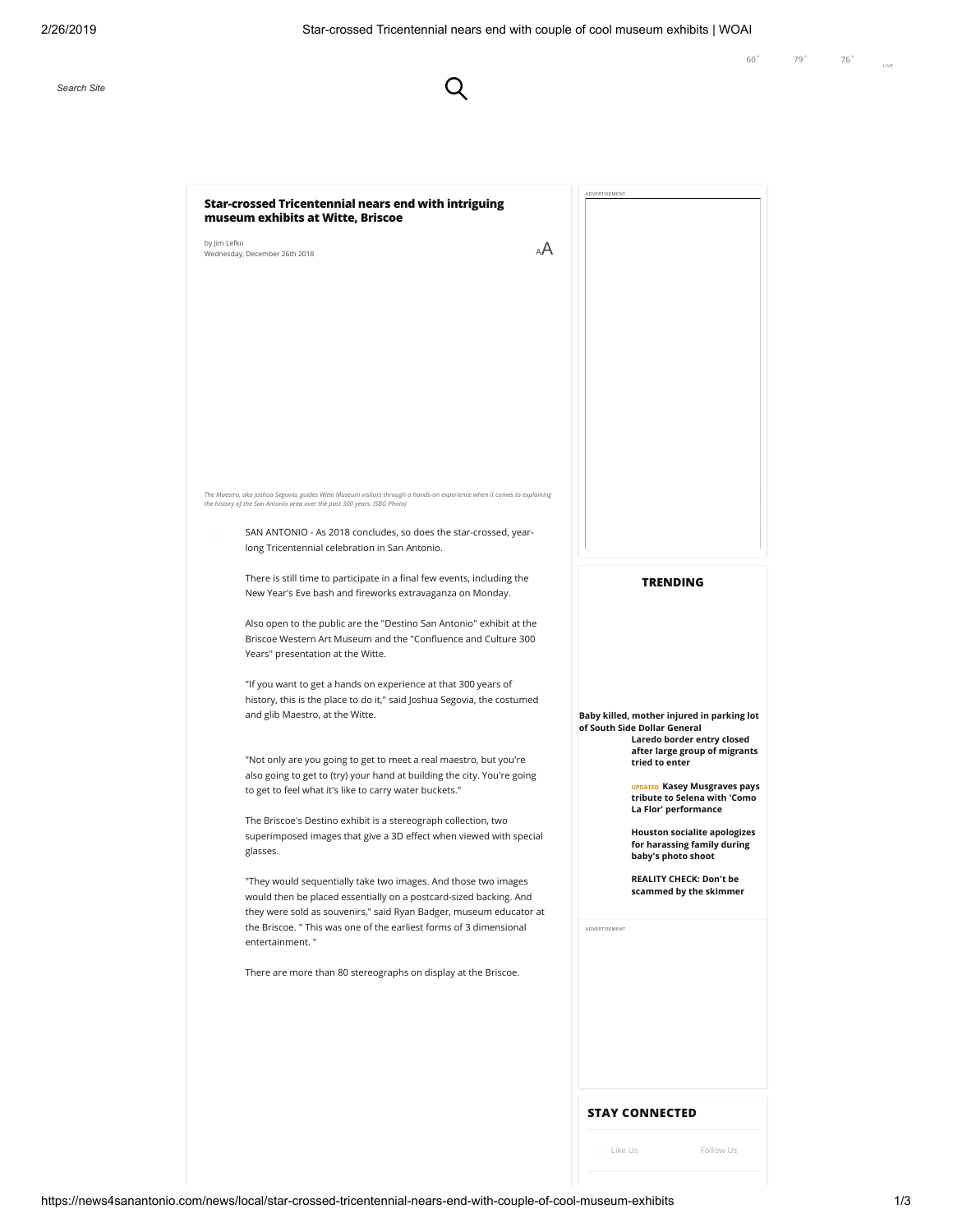$\overline{Q}$ 

| <b>Star-crossed Tricentennial nears end with intriguing</b><br>museum exhibits at Witte, Briscoe                                                                                                                                                                                | ADVERTISEMENT                                                                                                          |
|---------------------------------------------------------------------------------------------------------------------------------------------------------------------------------------------------------------------------------------------------------------------------------|------------------------------------------------------------------------------------------------------------------------|
| by Jim Lefko<br>AA<br>Wednesday, December 26th 2018                                                                                                                                                                                                                             |                                                                                                                        |
|                                                                                                                                                                                                                                                                                 |                                                                                                                        |
|                                                                                                                                                                                                                                                                                 |                                                                                                                        |
| The Maestro, aka Joshua Segovia, guides Witte Museum visitors through a hands-on experience when it comes to explaining<br>the history of the San Antonio area over the past 300 years. (SBG Photo)<br>SAN ANTONIO - As 2018 concludes, so does the star-crossed, year-         |                                                                                                                        |
| long Tricentennial celebration in San Antonio.<br>There is still time to participate in a final few events, including the                                                                                                                                                       | <b>TRENDING</b>                                                                                                        |
| New Year's Eve bash and fireworks extravaganza on Monday.<br>Also open to the public are the "Destino San Antonio" exhibit at the<br>Briscoe Western Art Museum and the "Confluence and Culture 300<br>Years" presentation at the Witte.                                        |                                                                                                                        |
| "If you want to get a hands on experience at that 300 years of<br>history, this is the place to do it," said Joshua Segovia, the costumed<br>and glib Maestro, at the Witte.                                                                                                    | Baby killed, mother injured in parking lot<br>of South Side Dollar General<br>Laredo border entry closed               |
| "Not only are you going to get to meet a real maestro, but you're<br>also going to get to (try) your hand at building the city. You're going<br>to get to feel what it's like to carry water buckets."                                                                          | after large group of migrants<br>tried to enter<br><b>UPDATED Kasey Musgraves pays</b><br>tribute to Selena with 'Como |
| The Briscoe's Destino exhibit is a stereograph collection, two<br>superimposed images that give a 3D effect when viewed with special<br>glasses.                                                                                                                                | La Flor' performance<br><b>Houston socialite apologizes</b><br>for harassing family during<br>baby's photo shoot       |
| "They would sequentially take two images. And those two images<br>would then be placed essentially on a postcard-sized backing. And<br>they were sold as souvenirs," said Ryan Badger, museum educator at<br>the Briscoe. " This was one of the earliest forms of 3 dimensional | <b>REALITY CHECK: Don't be</b><br>scammed by the skimmer<br>ADVERTISEMENT                                              |
| entertainment."<br>There are more than 80 stereographs on display at the Briscoe.                                                                                                                                                                                               |                                                                                                                        |
|                                                                                                                                                                                                                                                                                 |                                                                                                                        |
|                                                                                                                                                                                                                                                                                 |                                                                                                                        |
|                                                                                                                                                                                                                                                                                 | <b>STAY CONNECTED</b>                                                                                                  |